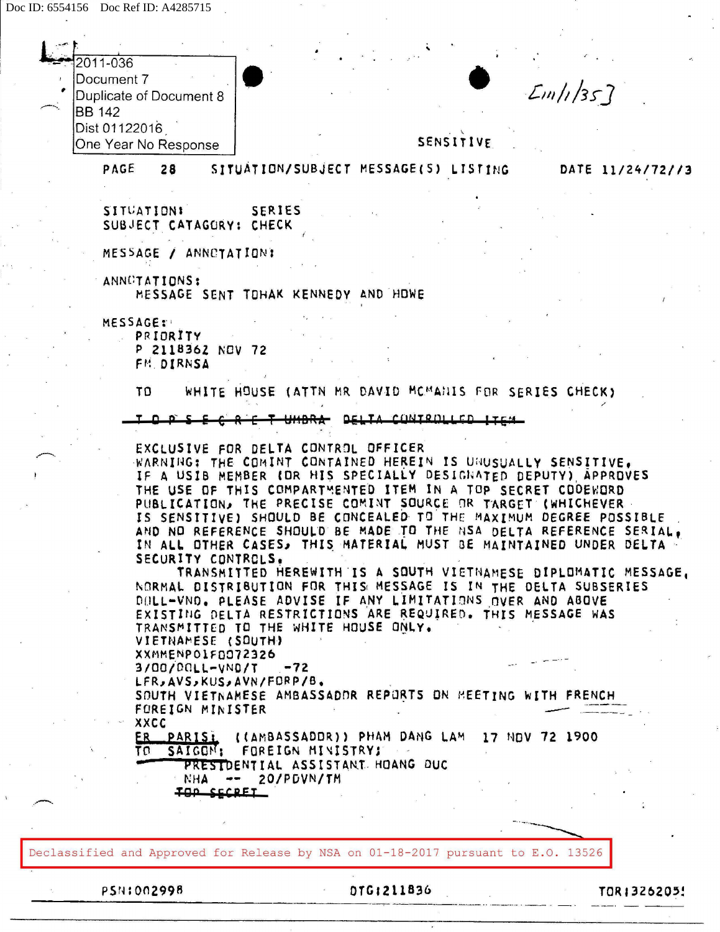| 2011-036                                                                          |                                                                                                                               |                                                                    |
|-----------------------------------------------------------------------------------|-------------------------------------------------------------------------------------------------------------------------------|--------------------------------------------------------------------|
| Document 7                                                                        |                                                                                                                               |                                                                    |
| Duplicate of Document 8                                                           |                                                                                                                               | Em/1/357                                                           |
| <b>BB</b> 142<br>Dist 01122016                                                    |                                                                                                                               |                                                                    |
| One Year No Response                                                              | SENSITIVE                                                                                                                     |                                                                    |
| PAGE<br>28                                                                        | SITUATION/SUBJECT MESSAGE(S) LISTING                                                                                          | DATE 11/24/72//3                                                   |
|                                                                                   |                                                                                                                               |                                                                    |
| SITUATIONI<br><b>SERIES</b>                                                       |                                                                                                                               |                                                                    |
| SUBJECT CATAGORY: CHECK                                                           |                                                                                                                               |                                                                    |
| MESSAGE / ANNOTATION:                                                             |                                                                                                                               |                                                                    |
| ANNCTATIONS:<br>MESSAGE SENT TOHAK KENNEDY AND HOWE                               |                                                                                                                               |                                                                    |
|                                                                                   |                                                                                                                               |                                                                    |
| <b>MESSAGE:</b><br>PRIORITY                                                       |                                                                                                                               |                                                                    |
| P 2118362 NOV 72<br>FM. DIRNSA                                                    |                                                                                                                               |                                                                    |
| TO                                                                                | WHITE HOUSE (ATTN MR DAVID MCMANIS FOR SERIES CHECK)                                                                          |                                                                    |
|                                                                                   | DELTA CONTROLLED ITEM                                                                                                         |                                                                    |
|                                                                                   |                                                                                                                               |                                                                    |
| EXCLUSIVE FOR DELTA CONTROL OFFICER                                               | WARNING: THE COMINT CONTAINED HEREIN IS UNUSUALLY SENSITIVE.                                                                  |                                                                    |
|                                                                                   | IF A USIB MEMBER (OR HIS SPECIALLY DESIGNATED DEPUTY) APPROVES<br>THE USE OF THIS COMPARTMENTED ITEM IN A TOP SECRET CODEWORD |                                                                    |
|                                                                                   | PUBLICATION, THE PRECISE COMINT SOURCE OR TARGET (WHICHEVER -                                                                 |                                                                    |
|                                                                                   | IS SENSITIVE) SHOULD BE CONCEALED TO THE MAXIMUM DEGREE POSSIBLE                                                              | AND NO REFERENCE SHOULD BE MADE TO THE NSA DELTA REFERENCE SERIAL. |
|                                                                                   |                                                                                                                               | IN ALL OTHER CASES, THIS MATERIAL MUST BE MAINTAINED UNDER DELTA   |
| SECURITY CONTROLS.                                                                |                                                                                                                               | TRANSMITTED HEREWITH IS A SOUTH VIETNAMESE DIPLOMATIC MESSAGE,     |
|                                                                                   | NORMAL DISTRIBUTION FOR THIS MESSAGE IS IN THE DELTA SUBSERIES                                                                |                                                                    |
|                                                                                   | DOLL-VNO. PLEASE ADVISE IF ANY LIMITATIONS OVER AND ABOVE<br>EXISTING DELTA RESTRICTIONS ARE REQUIRED. THIS MESSAGE WAS       |                                                                    |
| TRANSMITTED TO THE WHITE HOUSE ONLY.                                              |                                                                                                                               |                                                                    |
| VIETNAMESE (SOUTH)<br>XXMMENPO1F0072326                                           |                                                                                                                               |                                                                    |
| 3/00/POLL-VND/T<br>$-72$                                                          |                                                                                                                               |                                                                    |
| LFR, AVS, KUS, AVN/FORP/B.                                                        | SOUTH VIETNAMESE AMBASSADDR REPORTS ON MEETING WITH FRENCH                                                                    |                                                                    |
| FOREIGN MINISTER                                                                  |                                                                                                                               |                                                                    |
| XXCC                                                                              | ER PARISI ((AMBASSADDR)) PHAM DANG LAM 17 NDV 72 1900                                                                         |                                                                    |
| TO SAIGON: FOREIGN MINISTRY;                                                      |                                                                                                                               |                                                                    |
| NHA -- 20/PDVN/TM                                                                 | PRESTDENTIAL ASSISTANT HOANG DUC                                                                                              |                                                                    |
| IOD CCCDFT                                                                        |                                                                                                                               |                                                                    |
|                                                                                   |                                                                                                                               |                                                                    |
|                                                                                   |                                                                                                                               |                                                                    |
| Declassified and Approved for Release by NSA on 01-18-2017 pursuant to E.O. 13526 |                                                                                                                               |                                                                    |
| <b>PSN:002998</b>                                                                 | DTG:211836                                                                                                                    | TOR1326205!                                                        |
|                                                                                   |                                                                                                                               |                                                                    |

 $\sim$ 

 $\mathbb{R}^2$